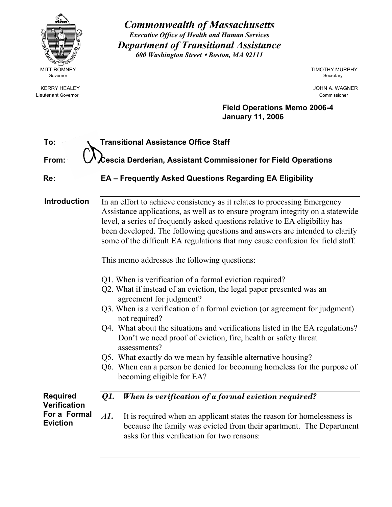

Lieutenant Governor Commissioner

*Commonwealth of Massachusetts Executive Office of Health and Human Services Department of Transitional Assistance 600 Washington Street* y *Boston, MA 02111* 

MITT ROMNEY **TIMOTHY MURPHY** 

KERRY HEALEY JOHN A. WAGNER

**Field Operations Memo 2006-4 January 11, 2006**

| To:                                    | <b>Transitional Assistance Office Staff</b>                                                                                                                                                                                                                                                                                                                                                                                                                                                                                                                                                                                                                                                                                                                                                                                                                                                                                                                                                                                                                            |
|----------------------------------------|------------------------------------------------------------------------------------------------------------------------------------------------------------------------------------------------------------------------------------------------------------------------------------------------------------------------------------------------------------------------------------------------------------------------------------------------------------------------------------------------------------------------------------------------------------------------------------------------------------------------------------------------------------------------------------------------------------------------------------------------------------------------------------------------------------------------------------------------------------------------------------------------------------------------------------------------------------------------------------------------------------------------------------------------------------------------|
| From:                                  | $\boldsymbol{\mathcal{L}}$ escia Derderian, Assistant Commissioner for Field Operations                                                                                                                                                                                                                                                                                                                                                                                                                                                                                                                                                                                                                                                                                                                                                                                                                                                                                                                                                                                |
| Re:                                    | <b>EA - Frequently Asked Questions Regarding EA Eligibility</b>                                                                                                                                                                                                                                                                                                                                                                                                                                                                                                                                                                                                                                                                                                                                                                                                                                                                                                                                                                                                        |
| <b>Introduction</b>                    | In an effort to achieve consistency as it relates to processing Emergency<br>Assistance applications, as well as to ensure program integrity on a statewide<br>level, a series of frequently asked questions relative to EA eligibility has<br>been developed. The following questions and answers are intended to clarify<br>some of the difficult EA regulations that may cause confusion for field staff.<br>This memo addresses the following questions:<br>Q1. When is verification of a formal eviction required?<br>Q2. What if instead of an eviction, the legal paper presented was an<br>agreement for judgment?<br>Q3. When is a verification of a formal eviction (or agreement for judgment)<br>not required?<br>Q4. What about the situations and verifications listed in the EA regulations?<br>Don't we need proof of eviction, fire, health or safety threat<br>assessments?<br>Q5. What exactly do we mean by feasible alternative housing?<br>Q6. When can a person be denied for becoming homeless for the purpose of<br>becoming eligible for EA? |
| <b>Required</b><br><b>Verification</b> | When is verification of a formal eviction required?<br>Q1.                                                                                                                                                                                                                                                                                                                                                                                                                                                                                                                                                                                                                                                                                                                                                                                                                                                                                                                                                                                                             |
| For a Formal<br><b>Eviction</b>        | AI.<br>It is required when an applicant states the reason for homelessness is<br>because the family was evicted from their apartment. The Department<br>asks for this verification for two reasons:                                                                                                                                                                                                                                                                                                                                                                                                                                                                                                                                                                                                                                                                                                                                                                                                                                                                    |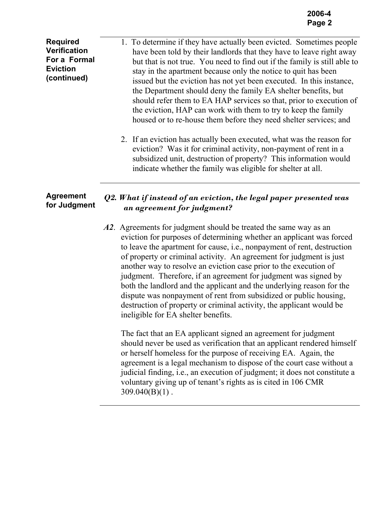**Required Verification For a Formal Eviction (continued)** 1. To determine if they have actually been evicted. Sometimes people have been told by their landlords that they have to leave right away but that is not true. You need to find out if the family is still able to stay in the apartment because only the notice to quit has been issued but the eviction has not yet been executed. In this instance, the Department should deny the family EA shelter benefits, but should refer them to EA HAP services so that, prior to execution of the eviction, HAP can work with them to try to keep the family housed or to re-house them before they need shelter services; and

> 2. If an eviction has actually been executed, what was the reason for eviction? Was it for criminal activity, non-payment of rent in a subsidized unit, destruction of property? This information would indicate whether the family was eligible for shelter at all.

#### **Agreement for Judgment** *Q2. What if instead of an eviction, the legal paper presented was an agreement for judgment?*

*A2*. Agreements for judgment should be treated the same way as an eviction for purposes of determining whether an applicant was forced to leave the apartment for cause, i.e., nonpayment of rent, destruction of property or criminal activity. An agreement for judgment is just another way to resolve an eviction case prior to the execution of judgment. Therefore, if an agreement for judgment was signed by both the landlord and the applicant and the underlying reason for the dispute was nonpayment of rent from subsidized or public housing, destruction of property or criminal activity, the applicant would be ineligible for EA shelter benefits.

The fact that an EA applicant signed an agreement for judgment should never be used as verification that an applicant rendered himself or herself homeless for the purpose of receiving EA. Again, the agreement is a legal mechanism to dispose of the court case without a judicial finding, i.e., an execution of judgment; it does not constitute a voluntary giving up of tenant's rights as is cited in 106 CMR  $309.040(B)(1)$ .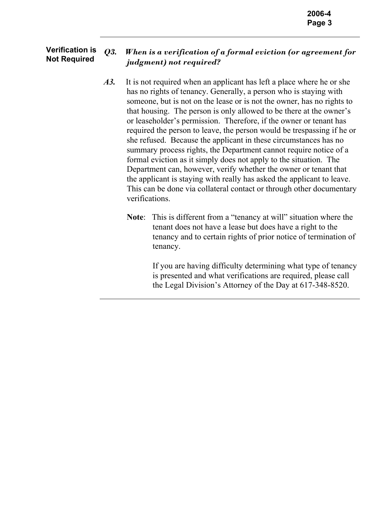#### **Verification is Verification is** Q3. *When is a verification of a formal eviction (or agreement for* **Not Required** *judgment) not required?*

- *A3.* It is not required when an applicant has left a place where he or she has no rights of tenancy. Generally, a person who is staying with someone, but is not on the lease or is not the owner, has no rights to that housing. The person is only allowed to be there at the owner's or leaseholder's permission. Therefore, if the owner or tenant has required the person to leave, the person would be trespassing if he or she refused. Because the applicant in these circumstances has no summary process rights, the Department cannot require notice of a formal eviction as it simply does not apply to the situation. The Department can, however, verify whether the owner or tenant that the applicant is staying with really has asked the applicant to leave. This can be done via collateral contact or through other documentary verifications.
	- **Note**: This is different from a "tenancy at will" situation where the tenant does not have a lease but does have a right to the tenancy and to certain rights of prior notice of termination of tenancy.

If you are having difficulty determining what type of tenancy is presented and what verifications are required, please call the Legal Division's Attorney of the Day at 617-348-8520.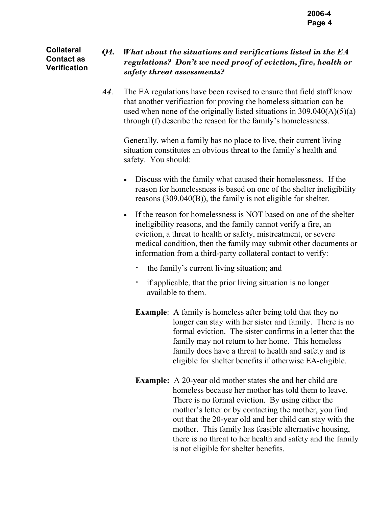#### **Collateral Contact as Verification**

## *Q4. What about the situations and verifications listed in the EA regulations? Don't we need proof of eviction, fire, health or safety threat assessments?*

*A4*. The EA regulations have been revised to ensure that field staff know that another verification for proving the homeless situation can be used when none of the originally listed situations in  $309.040(A)(5)(a)$ through (f) describe the reason for the family's homelessness.

Generally, when a family has no place to live, their current living situation constitutes an obvious threat to the family's health and safety. You should:

- Discuss with the family what caused their homelessness. If the reason for homelessness is based on one of the shelter ineligibility reasons (309.040(B)), the family is not eligible for shelter.
- If the reason for homelessness is NOT based on one of the shelter ineligibility reasons, and the family cannot verify a fire, an eviction, a threat to health or safety, mistreatment, or severe medical condition, then the family may submit other documents or information from a third-party collateral contact to verify:
	- ⋅ the family's current living situation; and
	- if applicable, that the prior living situation is no longer available to them.
	- **Example**: A family is homeless after being told that they no longer can stay with her sister and family. There is no formal eviction. The sister confirms in a letter that the family may not return to her home. This homeless family does have a threat to health and safety and is eligible for shelter benefits if otherwise EA-eligible.
	- **Example:** A 20-year old mother states she and her child are homeless because her mother has told them to leave. There is no formal eviction. By using either the mother's letter or by contacting the mother, you find out that the 20-year old and her child can stay with the mother. This family has feasible alternative housing, there is no threat to her health and safety and the family is not eligible for shelter benefits.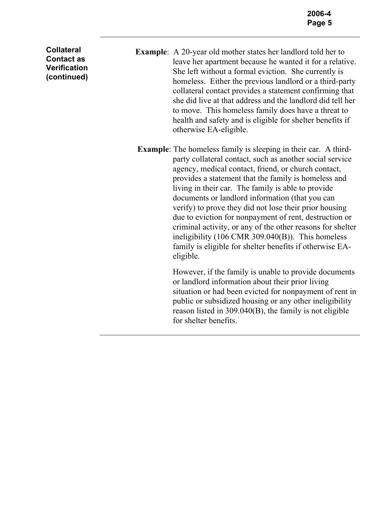**Collateral Contact as Verification (continued)** 

- **Example**: A 20-year old mother states her landlord told her to leave her apartment because he wanted it for a relative. She left without a formal eviction. She currently is homeless. Either the previous landlord or a third-party collateral contact provides a statement confirming that she did live at that address and the landlord did tell her to move. This homeless family does have a threat to health and safety and is eligible for shelter benefits if otherwise EA-eligible.
- **Example**: The homeless family is sleeping in their car. A thirdparty collateral contact, such as another social service agency, medical contact, friend, or church contact, provides a statement that the family is homeless and living in their car. The family is able to provide documents or landlord information (that you can verify) to prove they did not lose their prior housing due to eviction for nonpayment of rent, destruction or criminal activity, or any of the other reasons for shelter ineligibility (106 CMR 309.040(B)). This homeless family is eligible for shelter benefits if otherwise EAeligible.

However, if the family is unable to provide documents or landlord information about their prior living situation or had been evicted for nonpayment of rent in public or subsidized housing or any other ineligibility reason listed in 309.040(B), the family is not eligible for shelter benefits.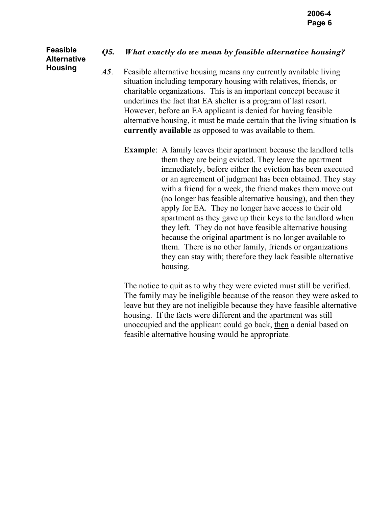### **Feasible Alternative Housing**

# *Q5. What exactly do we mean by feasible alternative housing?*

*A5*. Feasible alternative housing means any currently available living situation including temporary housing with relatives, friends, or charitable organizations. This is an important concept because it underlines the fact that EA shelter is a program of last resort. However, before an EA applicant is denied for having feasible alternative housing, it must be made certain that the living situation **is currently available** as opposed to was available to them.

**Example**: A family leaves their apartment because the landlord tells them they are being evicted. They leave the apartment immediately, before either the eviction has been executed or an agreement of judgment has been obtained. They stay with a friend for a week, the friend makes them move out (no longer has feasible alternative housing), and then they apply for EA. They no longer have access to their old apartment as they gave up their keys to the landlord when they left. They do not have feasible alternative housing because the original apartment is no longer available to them. There is no other family, friends or organizations they can stay with; therefore they lack feasible alternative housing.

The notice to quit as to why they were evicted must still be verified. The family may be ineligible because of the reason they were asked to leave but they are not ineligible because they have feasible alternative housing. If the facts were different and the apartment was still unoccupied and the applicant could go back, then a denial based on feasible alternative housing would be appropriate.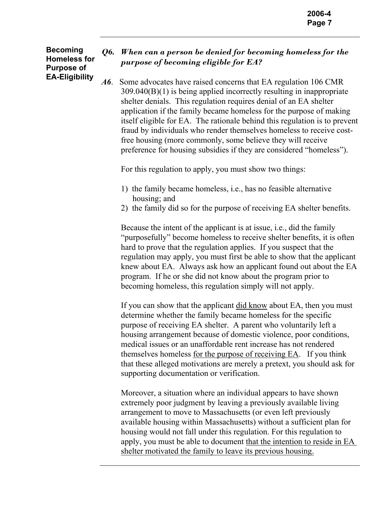#### **Becoming Homeless for Purpose of EA-Eligibility**

# *Q6. When can a person be denied for becoming homeless for the purpose of becoming eligible for EA?*

*A6*. Some advocates have raised concerns that EA regulation 106 CMR 309.040(B)(1) is being applied incorrectly resulting in inappropriate shelter denials. This regulation requires denial of an EA shelter application if the family became homeless for the purpose of making itself eligible for EA. The rationale behind this regulation is to prevent fraud by individuals who render themselves homeless to receive costfree housing (more commonly, some believe they will receive preference for housing subsidies if they are considered "homeless").

For this regulation to apply, you must show two things:

- 1) the family became homeless, i.e., has no feasible alternative housing; and
- 2) the family did so for the purpose of receiving EA shelter benefits.

Because the intent of the applicant is at issue, i.e., did the family "purposefully" become homeless to receive shelter benefits, it is often hard to prove that the regulation applies. If you suspect that the regulation may apply, you must first be able to show that the applicant knew about EA. Always ask how an applicant found out about the EA program. If he or she did not know about the program prior to becoming homeless, this regulation simply will not apply.

If you can show that the applicant did know about EA, then you must determine whether the family became homeless for the specific purpose of receiving EA shelter. A parent who voluntarily left a housing arrangement because of domestic violence, poor conditions, medical issues or an unaffordable rent increase has not rendered themselves homeless for the purpose of receiving EA. If you think that these alleged motivations are merely a pretext, you should ask for supporting documentation or verification.

Moreover, a situation where an individual appears to have shown extremely poor judgment by leaving a previously available living arrangement to move to Massachusetts (or even left previously available housing within Massachusetts) without a sufficient plan for housing would not fall under this regulation. For this regulation to apply, you must be able to document that the intention to reside in EA shelter motivated the family to leave its previous housing.